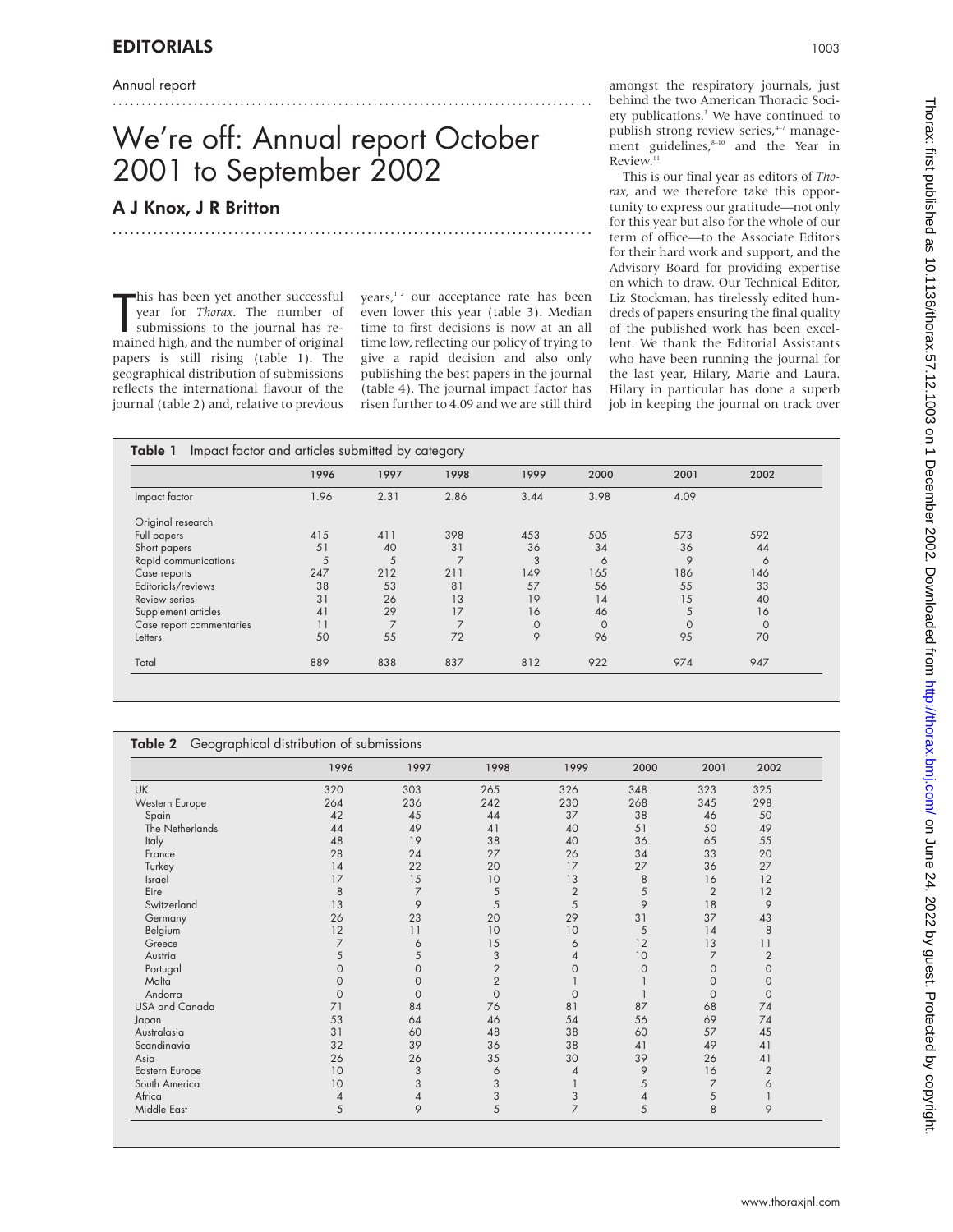Annual report

# We're off: Annual report October 2001 to September 2002

...................................................................................

...................................................................................

### A J Knox, J R Britton

This has been yet another successful<br>year for *Thorax*. The number of<br>submissions to the journal has re-<br>mained high, and the number of original his has been yet another successful year for *Thorax*. The number of submissions to the journal has repapers is still rising (table 1). The geographical distribution of submissions reflects the international flavour of the journal (table 2) and, relative to previous years, $12$  our acceptance rate has been even lower this year (table 3). Median time to first decisions is now at an all time low, reflecting our policy of trying to give a rapid decision and also only publishing the best papers in the journal (table 4). The journal impact factor has risen further to 4.09 and we are still third

amongst the respiratory journals, just behind the two American Thoracic Society publications.<sup>3</sup> We have continued to publish strong review series,<sup>4-7</sup> management guidelines, $s_{-10}$  and the Year in Review.<sup>11</sup>

This is our final year as editors of *Thorax*, and we therefore take this opportunity to express our gratitude—not only for this year but also for the whole of our term of office—to the Associate Editors for their hard work and support, and the Advisory Board for providing expertise on which to draw. Our Technical Editor, Liz Stockman, has tirelessly edited hundreds of papers ensuring the final quality of the published work has been excellent. We thank the Editorial Assistants who have been running the journal for the last year, Hilary, Marie and Laura. Hilary in particular has done a superb job in keeping the journal on track over

|                          | 1996 | 1997           | 1998           | 1999        | 2000         | 2001        | 2002         |
|--------------------------|------|----------------|----------------|-------------|--------------|-------------|--------------|
| Impact factor            | 1.96 | 2.31           | 2.86           | 3.44        | 3.98         | 4.09        |              |
| Original research        |      |                |                |             |              |             |              |
| Full papers              | 415  | 411            | 398            | 453         | 505          | 573         | 592          |
| Short papers             | 51   | 40             | 31             | 36          | 34           | 36          | 44           |
| Rapid communications     | 5    | 5              | 7              | 3           | 6            | 9           | 6            |
| Case reports             | 247  | 212            | 211            | 149         | 165          | 186         | 146          |
| Editorials/reviews       | 38   | 53             | 81             | 57          | 56           | 55          | 33           |
| Review series            | 31   | 26             | 13             | 19          | 14           | 15          | 40           |
| Supplement articles      | 41   | 29             | 17             | 16          | 46           | 5           | 16           |
| Case report commentaries | 11   | $\overline{7}$ | $\overline{7}$ | $\mathbf 0$ | $\mathbf{0}$ | $\mathbf 0$ | $\mathbf{0}$ |
| Letters                  | 50   | 55             | 72             | 9           | 96           | 95          | 70           |
| Total                    | 889  | 838            | 837            | 812         | 922          | 974         | 947          |

|                 | 1996           | 1997     | 1998           | 1999           | 2000           | 2001           | 2002           |
|-----------------|----------------|----------|----------------|----------------|----------------|----------------|----------------|
| <b>UK</b>       | 320            | 303      | 265            | 326            | 348            | 323            | 325            |
| Western Europe  | 264            | 236      | 242            | 230            | 268            | 345            | 298            |
| Spain           | 42             | 45       | 44             | 37             | 38             | 46             | 50             |
| The Netherlands | 44             | 49       | 41             | 40             | 51             | 50             | 49             |
| Italy           | 48             | 19       | 38             | 40             | 36             | 65             | 55             |
| France          | 28             | 24       | 27             | 26             | 34             | 33             | 20             |
| Turkey          | 14             | 22       | 20             | 17             | 27             | 36             | 27             |
| Israel          | 17             | 15       | 10             | 13             | 8              | 16             | 12             |
| Eire            | 8              | 7        | 5              | $\overline{2}$ | 5              | $\overline{2}$ | 12             |
| Switzerland     | 13             | 9        | 5              | 5              | 9              | 18             | 9              |
| Germany         | 26             | 23       | 20             | 29             | 31             | 37             | 43             |
| Belgium         | 12             | 11       | 10             | 10             | 5              | 14             | 8              |
| Greece          | 7              | 6        | 15             | 6              | 12             | 13             | 11             |
| Austria         | 5              | 5        | 3              | 4              | 10             | $\overline{7}$ | $\overline{2}$ |
| Portugal        | $\mathbf 0$    | 0        | $\overline{2}$ | $\mathbf 0$    | $\circ$        | $\mathbf{O}$   | $\mathbf 0$    |
| Malta           | $\mathbf 0$    | 0        | $\overline{2}$ |                |                | $\mathbf{O}$   | $\mathbf{O}$   |
| Andorra         | $\mathbf 0$    | $\Omega$ | $\Omega$       | $\mathbf{O}$   |                | $\mathbf 0$    | $\mathbf{O}$   |
| USA and Canada  | 71             | 84       | 76             | 81             | 87             | 68             | 74             |
| Japan           | 53             | 64       | 46             | 54             | 56             | 69             | 74             |
| Australasia     | 31             | 60       | 48             | 38             | 60             | 57             | 45             |
| Scandinavia     | 32             | 39       | 36             | 38             | 41             | 49             | 41             |
| Asia            | 26             | 26       | 35             | 30             | 39             | 26             | 41             |
| Eastern Europe  | 10             | 3        | 6              | $\overline{4}$ | 9              | 16             | $\overline{2}$ |
| South America   | 10             | 3        | 3              |                | 5              | $\overline{7}$ | 6              |
| Africa          | $\overline{4}$ | 4        | 3              | 3              | $\overline{4}$ | 5              |                |
| Middle East     | 5              | 9        | 5              | $\overline{7}$ | 5              | 8              | 9              |